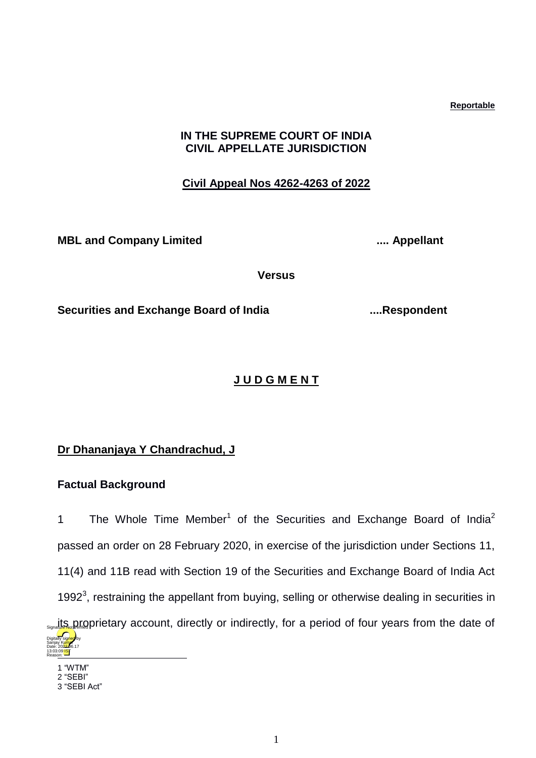**Reportable**

# **IN THE SUPREME COURT OF INDIA CIVIL APPELLATE JURISDICTION**

**Civil Appeal Nos 4262-4263 of 2022**

**MBL and Company Limited .... Appellant**

**Versus**

**Securities and Exchange Board of India ....Respondent**

# **J U D G M E N T**

# **Dr Dhananjaya Y Chandrachud, J**

# **Factual Background**

1 The Whole Time Member<sup>1</sup> of the Securities and Exchange Board of India<sup>2</sup> passed an order on 28 February 2020, in exercise of the jurisdiction under Sections 11, 11(4) and 11B read with Section 19 of the Securities and Exchange Board of India Act 1992 $^3$ , restraining the appellant from buying, selling or otherwise dealing in securities in sgnalts proprietary account, directly or indirectly, for a period of four years from the date of 13:03:09<mark>1ST</mark><br>Reason: Digitally signed by Sanjay Kumar<br>Date: 202<del>2.</del>06.17

1 "WTM" 2 "SEBI"

3 "SEBI Act"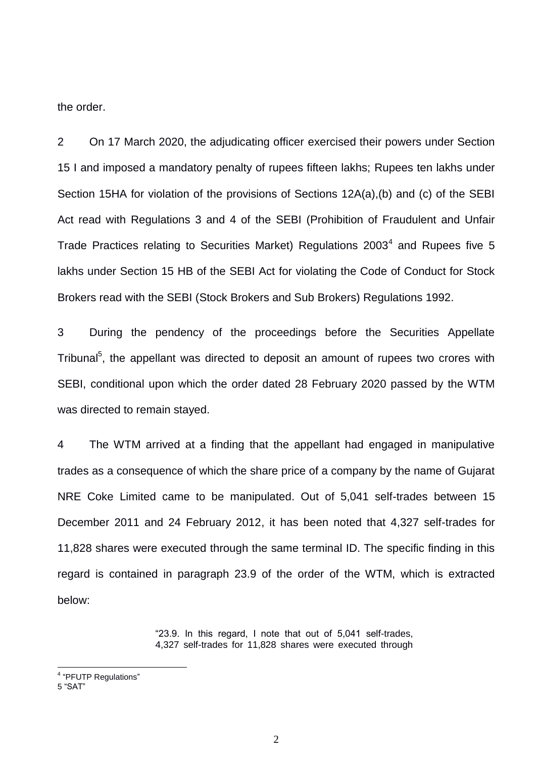the order.

2 On 17 March 2020, the adjudicating officer exercised their powers under Section 15 I and imposed a mandatory penalty of rupees fifteen lakhs; Rupees ten lakhs under Section 15HA for violation of the provisions of Sections 12A(a),(b) and (c) of the SEBI Act read with Regulations 3 and 4 of the SEBI (Prohibition of Fraudulent and Unfair Trade Practices relating to Securities Market) Regulations 2003<sup>4</sup> and Rupees five 5 lakhs under Section 15 HB of the SEBI Act for violating the Code of Conduct for Stock Brokers read with the SEBI (Stock Brokers and Sub Brokers) Regulations 1992.

3 During the pendency of the proceedings before the Securities Appellate Tribunal<sup>5</sup>, the appellant was directed to deposit an amount of rupees two crores with SEBI, conditional upon which the order dated 28 February 2020 passed by the WTM was directed to remain stayed.

4 The WTM arrived at a finding that the appellant had engaged in manipulative trades as a consequence of which the share price of a company by the name of Gujarat NRE Coke Limited came to be manipulated. Out of 5,041 self-trades between 15 December 2011 and 24 February 2012, it has been noted that 4,327 self-trades for 11,828 shares were executed through the same terminal ID. The specific finding in this regard is contained in paragraph 23.9 of the order of the WTM, which is extracted below:

> "23.9. In this regard, I note that out of 5,041 self-trades, 4,327 self-trades for 11,828 shares were executed through

 $\overline{a}$ 

<sup>&</sup>lt;sup>4</sup> "PFUTP Regulations" 5 "SAT"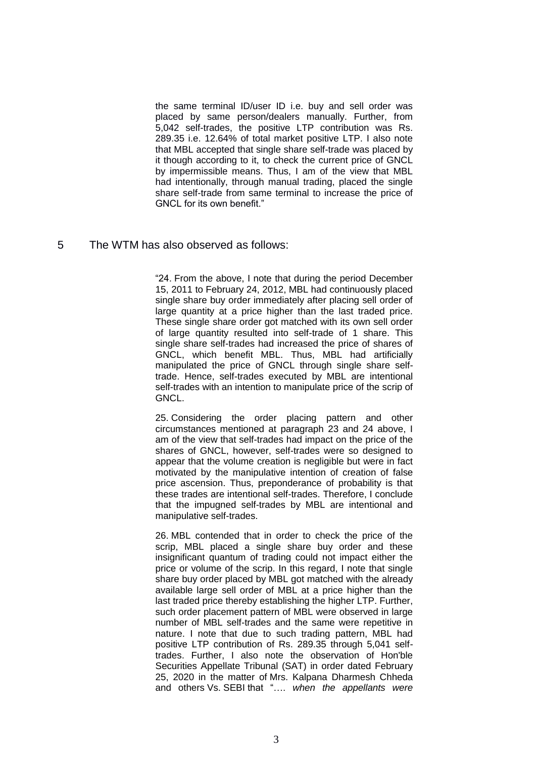the same terminal ID/user ID i.e. buy and sell order was placed by same person/dealers manually. Further, from 5,042 self-trades, the positive LTP contribution was Rs. 289.35 i.e. 12.64% of total market positive LTP. I also note that MBL accepted that single share self-trade was placed by it though according to it, to check the current price of GNCL by impermissible means. Thus, I am of the view that MBL had intentionally, through manual trading, placed the single share self-trade from same terminal to increase the price of GNCL for its own benefit."

5 The WTM has also observed as follows:

"24. From the above, I note that during the period December 15, 2011 to February 24, 2012, MBL had continuously placed single share buy order immediately after placing sell order of large quantity at a price higher than the last traded price. These single share order got matched with its own sell order of large quantity resulted into self-trade of 1 share. This single share self-trades had increased the price of shares of GNCL, which benefit MBL. Thus, MBL had artificially manipulated the price of GNCL through single share selftrade. Hence, self-trades executed by MBL are intentional self-trades with an intention to manipulate price of the scrip of GNCL.

25. Considering the order placing pattern and other circumstances mentioned at paragraph 23 and 24 above, I am of the view that self-trades had impact on the price of the shares of GNCL, however, self-trades were so designed to appear that the volume creation is negligible but were in fact motivated by the manipulative intention of creation of false price ascension. Thus, preponderance of probability is that these trades are intentional self-trades. Therefore, I conclude that the impugned self-trades by MBL are intentional and manipulative self-trades.

26. MBL contended that in order to check the price of the scrip, MBL placed a single share buy order and these insignificant quantum of trading could not impact either the price or volume of the scrip. In this regard, I note that single share buy order placed by MBL got matched with the already available large sell order of MBL at a price higher than the last traded price thereby establishing the higher LTP. Further, such order placement pattern of MBL were observed in large number of MBL self-trades and the same were repetitive in nature. I note that due to such trading pattern, MBL had positive LTP contribution of Rs. 289.35 through 5,041 selftrades. Further, I also note the observation of Hon'ble Securities Appellate Tribunal (SAT) in order dated February 25, 2020 in the matter of Mrs. Kalpana Dharmesh Chheda and others Vs. SEBI that "…. *when the appellants were*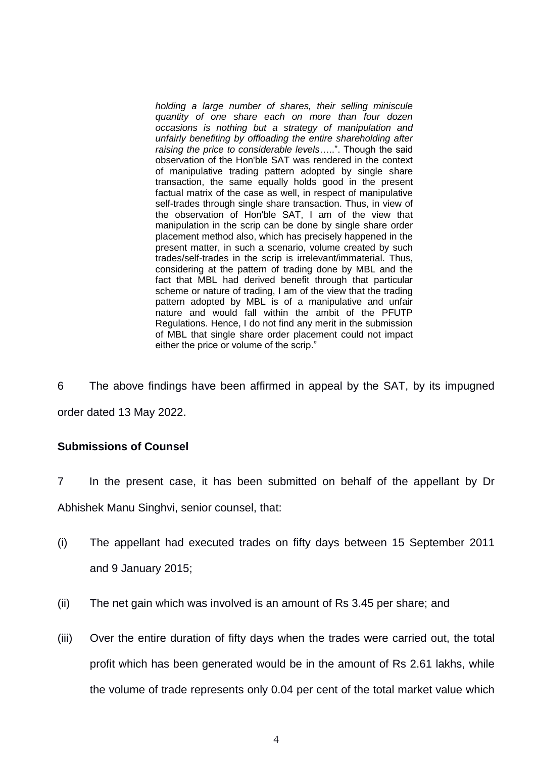*holding a large number of shares, their selling miniscule quantity of one share each on more than four dozen occasions is nothing but a strategy of manipulation and unfairly benefiting by offloading the entire shareholding after raising the price to considerable levels*…..". Though the said observation of the Hon'ble SAT was rendered in the context of manipulative trading pattern adopted by single share transaction, the same equally holds good in the present factual matrix of the case as well, in respect of manipulative self-trades through single share transaction. Thus, in view of the observation of Hon'ble SAT, I am of the view that manipulation in the scrip can be done by single share order placement method also, which has precisely happened in the present matter, in such a scenario, volume created by such trades/self-trades in the scrip is irrelevant/immaterial. Thus, considering at the pattern of trading done by MBL and the fact that MBL had derived benefit through that particular scheme or nature of trading, I am of the view that the trading pattern adopted by MBL is of a manipulative and unfair nature and would fall within the ambit of the PFUTP Regulations. Hence, I do not find any merit in the submission of MBL that single share order placement could not impact either the price or volume of the scrip."

6 The above findings have been affirmed in appeal by the SAT, by its impugned order dated 13 May 2022.

### **Submissions of Counsel**

7 In the present case, it has been submitted on behalf of the appellant by Dr Abhishek Manu Singhvi, senior counsel, that:

- (i) The appellant had executed trades on fifty days between 15 September 2011 and 9 January 2015;
- (ii) The net gain which was involved is an amount of Rs 3.45 per share; and
- (iii) Over the entire duration of fifty days when the trades were carried out, the total profit which has been generated would be in the amount of Rs 2.61 lakhs, while the volume of trade represents only 0.04 per cent of the total market value which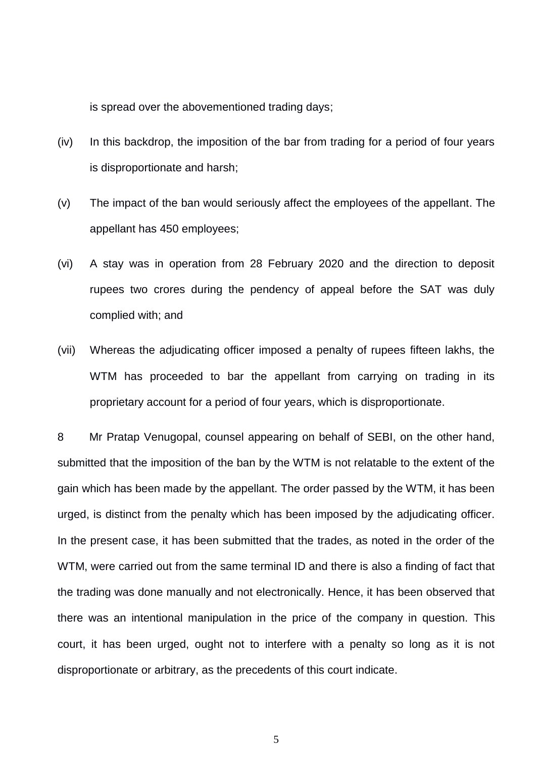is spread over the abovementioned trading days;

- (iv) In this backdrop, the imposition of the bar from trading for a period of four years is disproportionate and harsh;
- (v) The impact of the ban would seriously affect the employees of the appellant. The appellant has 450 employees;
- (vi) A stay was in operation from 28 February 2020 and the direction to deposit rupees two crores during the pendency of appeal before the SAT was duly complied with; and
- (vii) Whereas the adjudicating officer imposed a penalty of rupees fifteen lakhs, the WTM has proceeded to bar the appellant from carrying on trading in its proprietary account for a period of four years, which is disproportionate.

8 Mr Pratap Venugopal, counsel appearing on behalf of SEBI, on the other hand, submitted that the imposition of the ban by the WTM is not relatable to the extent of the gain which has been made by the appellant. The order passed by the WTM, it has been urged, is distinct from the penalty which has been imposed by the adjudicating officer. In the present case, it has been submitted that the trades, as noted in the order of the WTM, were carried out from the same terminal ID and there is also a finding of fact that the trading was done manually and not electronically. Hence, it has been observed that there was an intentional manipulation in the price of the company in question. This court, it has been urged, ought not to interfere with a penalty so long as it is not disproportionate or arbitrary, as the precedents of this court indicate.

5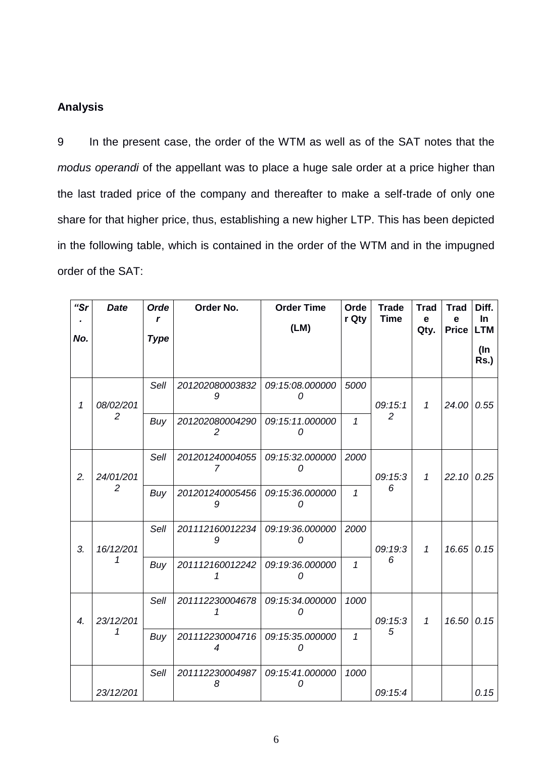# **Analysis**

9 In the present case, the order of the WTM as well as of the SAT notes that the *modus operandi* of the appellant was to place a huge sale order at a price higher than the last traded price of the company and thereafter to make a self-trade of only one share for that higher price, thus, establishing a new higher LTP. This has been depicted in the following table, which is contained in the order of the WTM and in the impugned order of the SAT:

| "Sr | <b>Date</b>    | Orde<br>r   | Order No.            | <b>Order Time</b>     | Orde<br>r Qty | <b>Trade</b><br><b>Time</b> | <b>Trad</b><br>e | <b>Trad</b><br>e | Diff.<br>In.          |
|-----|----------------|-------------|----------------------|-----------------------|---------------|-----------------------------|------------------|------------------|-----------------------|
| No. |                | <b>Type</b> |                      | (LM)                  |               |                             | Qty.             | <b>Price</b>     | <b>LTM</b>            |
|     |                |             |                      |                       |               |                             |                  |                  | $($ In<br><b>Rs.)</b> |
| 1   | 08/02/201<br>2 | Sell        | 201202080003832<br>9 | 09:15:08.000000<br>O) | 5000          | 09:15:1<br>2                | $\mathbf{1}$     | 24.00            | 0.55                  |
|     |                | Buy         | 201202080004290<br>2 | 09:15:11.000000<br>Ω  | $\mathbf{1}$  |                             |                  |                  |                       |
| 2.  | 24/01/201<br>2 | Sell        | 201201240004055<br>7 | 09:15:32.000000<br>0  | 2000          | 09:15:3<br>6                | $\mathcal I$     | 22.10            | 0.25                  |
|     |                | Buy         | 201201240005456<br>9 | 09:15:36.000000<br>0  | $\mathbf{1}$  |                             |                  |                  |                       |
| 3.  | 16/12/201<br>1 | Sell        | 201112160012234<br>9 | 09:19:36.000000<br>Ω  | 2000          | 09:19:3<br>6                | $\mathcal I$     | 16.65            | 0.15                  |
|     |                | Buy         | 201112160012242      | 09:19:36.000000<br>Ω  | 1             |                             |                  |                  |                       |
| 4.  | 23/12/201<br>1 | Sell        | 201112230004678      | 09:15:34.000000<br>0  | 1000          | 09:15:3<br>5                | $\mathcal I$     | 16.50            | 0.15                  |
|     |                | Buy         | 201112230004716<br>4 | 09:15:35.000000<br>Ω  | $\mathbf{1}$  |                             |                  |                  |                       |
|     | 23/12/201      | Sell        | 201112230004987<br>8 | 09:15:41.000000<br>0  | 1000          | 09:15:4                     |                  |                  | 0.15                  |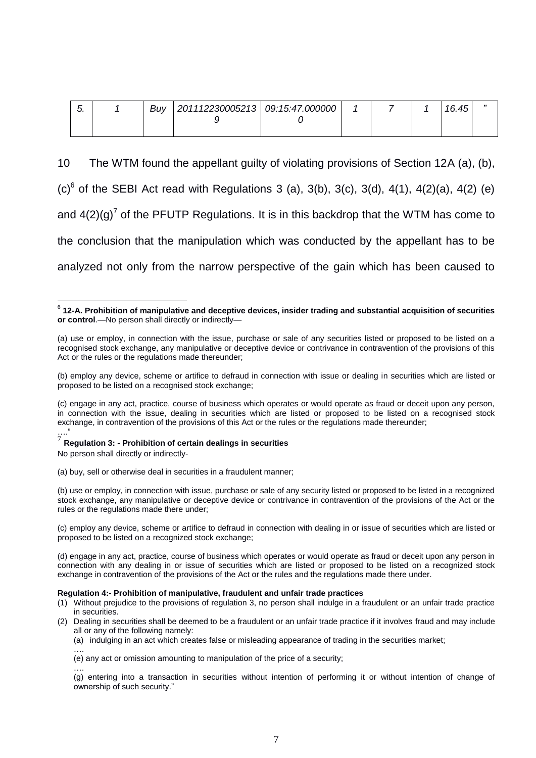| -<br>∽<br>J. | Buv | 201112230005213 09:15:47.000000 |  |  | 16.45 | " |
|--------------|-----|---------------------------------|--|--|-------|---|
|              |     |                                 |  |  |       |   |
|              |     |                                 |  |  |       |   |

10 The WTM found the appellant guilty of violating provisions of Section 12A (a), (b),  $(c)^6$  of the SEBI Act read with Regulations 3 (a), 3(b), 3(c), 3(d), 4(1), 4(2)(a), 4(2) (e) and  $4(2)(g)^7$  of the PFUTP Regulations. It is in this backdrop that the WTM has come to the conclusion that the manipulation which was conducted by the appellant has to be analyzed not only from the narrow perspective of the gain which has been caused to

(c) engage in any act, practice, course of business which operates or would operate as fraud or deceit upon any person, in connection with the issue, dealing in securities which are listed or proposed to be listed on a recognised stock exchange, in contravention of the provisions of this Act or the rules or the regulations made thereunder;

…." 7 **Regulation 3: - Prohibition of certain dealings in securities**

No person shall directly or indirectly-

(a) buy, sell or otherwise deal in securities in a fraudulent manner;

(b) use or employ, in connection with issue, purchase or sale of any security listed or proposed to be listed in a recognized stock exchange, any manipulative or deceptive device or contrivance in contravention of the provisions of the Act or the rules or the regulations made there under;

(c) employ any device, scheme or artifice to defraud in connection with dealing in or issue of securities which are listed or proposed to be listed on a recognized stock exchange;

(d) engage in any act, practice, course of business which operates or would operate as fraud or deceit upon any person in connection with any dealing in or issue of securities which are listed or proposed to be listed on a recognized stock exchange in contravention of the provisions of the Act or the rules and the regulations made there under.

#### **Regulation 4:- Prohibition of manipulative, fraudulent and unfair trade practices**

- (1) Without prejudice to the provisions of regulation 3, no person shall indulge in a fraudulent or an unfair trade practice in securities.
- (2) Dealing in securities shall be deemed to be a fraudulent or an unfair trade practice if it involves fraud and may include all or any of the following namely:

(a) indulging in an act which creates false or misleading appearance of trading in the securities market;

…. (e) any act or omission amounting to manipulation of the price of a security;

…. (g) entering into a transaction in securities without intention of performing it or without intention of change of ownership of such security."

 6 **12-A. Prohibition of manipulative and deceptive devices, insider trading and substantial acquisition of securities or control**.—No person shall directly or indirectly—

<sup>(</sup>a) use or employ, in connection with the issue, purchase or sale of any securities listed or proposed to be listed on a recognised stock exchange, any manipulative or deceptive device or contrivance in contravention of the provisions of this Act or the rules or the regulations made thereunder;

<sup>(</sup>b) employ any device, scheme or artifice to defraud in connection with issue or dealing in securities which are listed or proposed to be listed on a recognised stock exchange;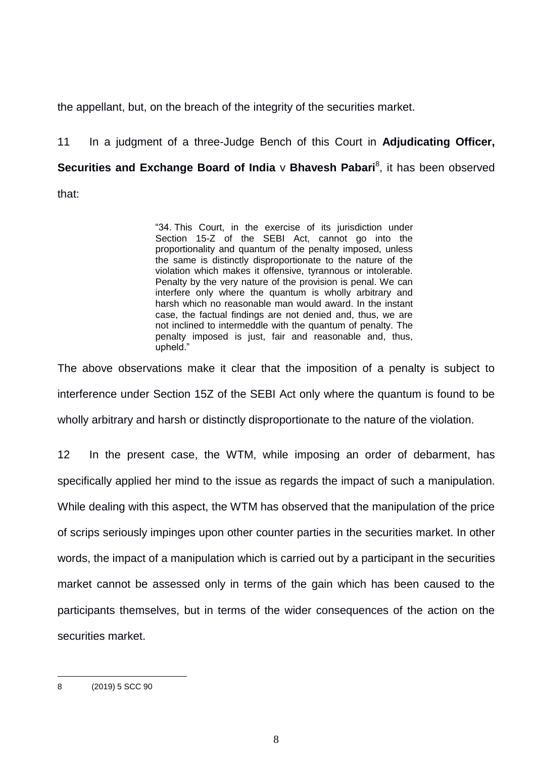the appellant, but, on the breach of the integrity of the securities market.

# 11 In a judgment of a three-Judge Bench of this Court in **Adjudicating Officer, Securities and Exchange Board of India** v Bhavesh Pabari<sup>8</sup>, it has been observed

that:

"34. This Court, in the exercise of its jurisdiction under Section 15-Z of the SEBI Act, cannot go into the proportionality and quantum of the penalty imposed, unless the same is distinctly disproportionate to the nature of the violation which makes it offensive, tyrannous or intolerable. Penalty by the very nature of the provision is penal. We can interfere only where the quantum is wholly arbitrary and harsh which no reasonable man would award. In the instant case, the factual findings are not denied and, thus, we are not inclined to intermeddle with the quantum of penalty. The penalty imposed is just, fair and reasonable and, thus, upheld."

The above observations make it clear that the imposition of a penalty is subject to interference under Section 15Z of the SEBI Act only where the quantum is found to be wholly arbitrary and harsh or distinctly disproportionate to the nature of the violation.

12 In the present case, the WTM, while imposing an order of debarment, has specifically applied her mind to the issue as regards the impact of such a manipulation. While dealing with this aspect, the WTM has observed that the manipulation of the price of scrips seriously impinges upon other counter parties in the securities market. In other words, the impact of a manipulation which is carried out by a participant in the securities market cannot be assessed only in terms of the gain which has been caused to the participants themselves, but in terms of the wider consequences of the action on the securities market.

 $\overline{a}$ 8 (2019) 5 SCC 90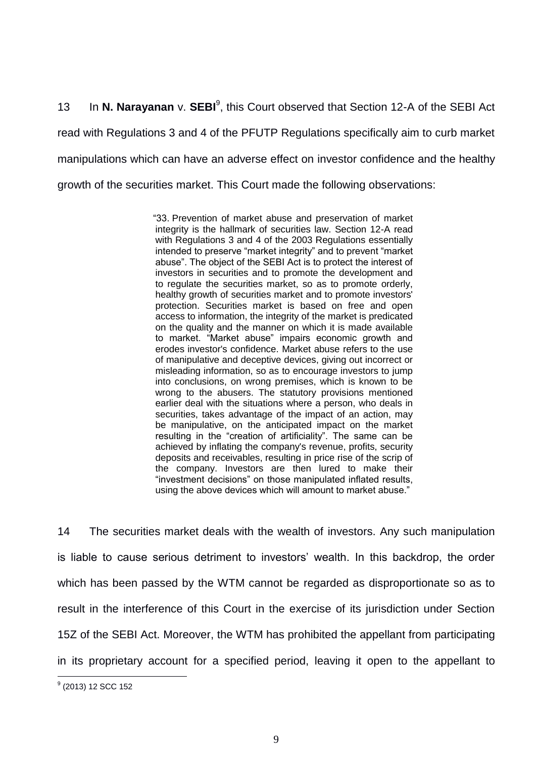13 In N. Narayanan v. SEBI<sup>9</sup>, this Court observed that Section 12-A of the SEBI Act read with Regulations 3 and 4 of the PFUTP Regulations specifically aim to curb market manipulations which can have an adverse effect on investor confidence and the healthy growth of the securities market. This Court made the following observations:

> "33. Prevention of market abuse and preservation of market integrity is the hallmark of securities law. Section 12-A read with Regulations 3 and 4 of the 2003 Regulations essentially intended to preserve "market integrity" and to prevent "market abuse". The object of the SEBI Act is to protect the interest of investors in securities and to promote the development and to regulate the securities market, so as to promote orderly, healthy growth of securities market and to promote investors' protection. Securities market is based on free and open access to information, the integrity of the market is predicated on the quality and the manner on which it is made available to market. "Market abuse" impairs economic growth and erodes investor's confidence. Market abuse refers to the use of manipulative and deceptive devices, giving out incorrect or misleading information, so as to encourage investors to jump into conclusions, on wrong premises, which is known to be wrong to the abusers. The statutory provisions mentioned earlier deal with the situations where a person, who deals in securities, takes advantage of the impact of an action, may be manipulative, on the anticipated impact on the market resulting in the "creation of artificiality". The same can be achieved by inflating the company's revenue, profits, security deposits and receivables, resulting in price rise of the scrip of the company. Investors are then lured to make their "investment decisions" on those manipulated inflated results, using the above devices which will amount to market abuse."

14 The securities market deals with the wealth of investors. Any such manipulation is liable to cause serious detriment to investors' wealth. In this backdrop, the order which has been passed by the WTM cannot be regarded as disproportionate so as to result in the interference of this Court in the exercise of its jurisdiction under Section 15Z of the SEBI Act. Moreover, the WTM has prohibited the appellant from participating in its proprietary account for a specified period, leaving it open to the appellant to

<sup>。&</sup>lt;br><sup>9</sup> (2013) 12 SCC 152